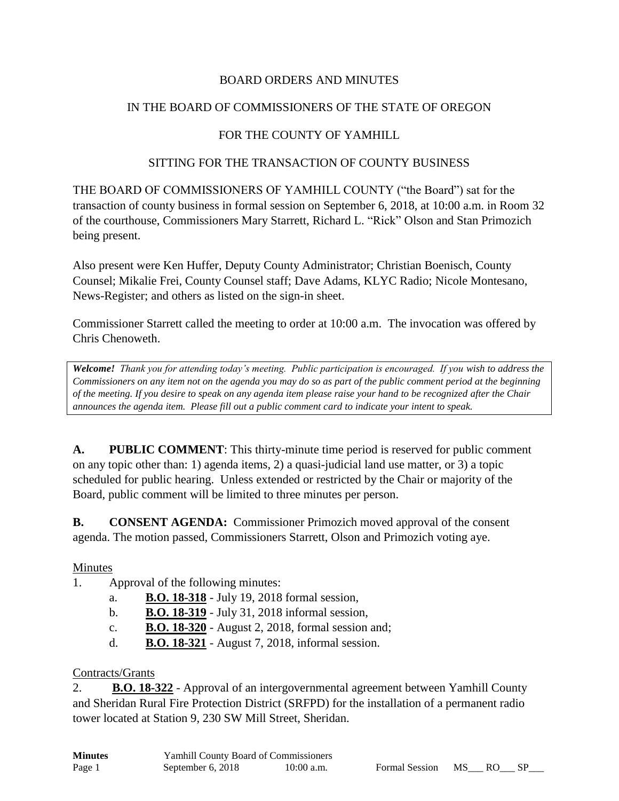### BOARD ORDERS AND MINUTES

### IN THE BOARD OF COMMISSIONERS OF THE STATE OF OREGON

## FOR THE COUNTY OF YAMHILL

#### SITTING FOR THE TRANSACTION OF COUNTY BUSINESS

THE BOARD OF COMMISSIONERS OF YAMHILL COUNTY ("the Board") sat for the transaction of county business in formal session on September 6, 2018, at 10:00 a.m. in Room 32 of the courthouse, Commissioners Mary Starrett, Richard L. "Rick" Olson and Stan Primozich being present.

Also present were Ken Huffer, Deputy County Administrator; Christian Boenisch, County Counsel; Mikalie Frei, County Counsel staff; Dave Adams, KLYC Radio; Nicole Montesano, News-Register; and others as listed on the sign-in sheet.

Commissioner Starrett called the meeting to order at 10:00 a.m. The invocation was offered by Chris Chenoweth.

*Welcome! Thank you for attending today's meeting. Public participation is encouraged. If you wish to address the Commissioners on any item not on the agenda you may do so as part of the public comment period at the beginning of the meeting. If you desire to speak on any agenda item please raise your hand to be recognized after the Chair announces the agenda item. Please fill out a public comment card to indicate your intent to speak.*

**A. PUBLIC COMMENT**: This thirty-minute time period is reserved for public comment on any topic other than: 1) agenda items, 2) a quasi-judicial land use matter, or 3) a topic scheduled for public hearing. Unless extended or restricted by the Chair or majority of the Board, public comment will be limited to three minutes per person.

**B. CONSENT AGENDA:** Commissioner Primozich moved approval of the consent agenda. The motion passed, Commissioners Starrett, Olson and Primozich voting aye.

#### Minutes

- 1. Approval of the following minutes:
	- a. **B.O. 18-318** July 19, 2018 formal session,
	- b. **B.O. 18-319** July 31, 2018 informal session,
	- c. **B.O. 18-320** August 2, 2018, formal session and;
	- d. **B.O. 18-321** August 7, 2018, informal session.

#### Contracts/Grants

2. **B.O. 18-322** - Approval of an intergovernmental agreement between Yamhill County and Sheridan Rural Fire Protection District (SRFPD) for the installation of a permanent radio tower located at Station 9, 230 SW Mill Street, Sheridan.

| <b>Minutes</b> | <b>Yamhill County Board of Commissioners</b> |              |
|----------------|----------------------------------------------|--------------|
| Page 1         | September 6, 2018                            | $10:00$ a.m. |